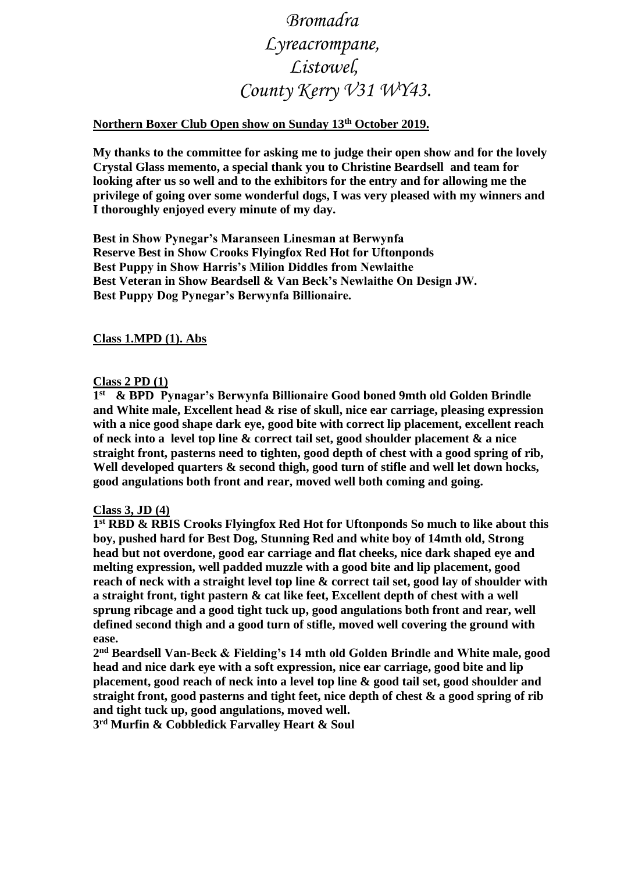# *Bromadra Lyreacrompane, Listowel, County Kerry V31 WY43.*

## **Northern Boxer Club Open show on Sunday 13th October 2019.**

**My thanks to the committee for asking me to judge their open show and for the lovely Crystal Glass memento, a special thank you to Christine Beardsell and team for looking after us so well and to the exhibitors for the entry and for allowing me the privilege of going over some wonderful dogs, I was very pleased with my winners and I thoroughly enjoyed every minute of my day.** 

**Best in Show Pynegar's Maranseen Linesman at Berwynfa Reserve Best in Show Crooks Flyingfox Red Hot for Uftonponds Best Puppy in Show Harris's Milion Diddles from Newlaithe Best Veteran in Show Beardsell & Van Beck's Newlaithe On Design JW. Best Puppy Dog Pynegar's Berwynfa Billionaire.**

#### **Class 1.MPD (1). Abs**

#### **Class 2 PD (1)**

**1 st & BPD Pynagar's Berwynfa Billionaire Good boned 9mth old Golden Brindle and White male, Excellent head & rise of skull, nice ear carriage, pleasing expression with a nice good shape dark eye, good bite with correct lip placement, excellent reach of neck into a level top line & correct tail set, good shoulder placement & a nice straight front, pasterns need to tighten, good depth of chest with a good spring of rib, Well developed quarters & second thigh, good turn of stifle and well let down hocks, good angulations both front and rear, moved well both coming and going.**

#### **Class 3, JD (4)**

**1 st RBD & RBIS Crooks Flyingfox Red Hot for Uftonponds So much to like about this boy, pushed hard for Best Dog, Stunning Red and white boy of 14mth old, Strong head but not overdone, good ear carriage and flat cheeks, nice dark shaped eye and melting expression, well padded muzzle with a good bite and lip placement, good reach of neck with a straight level top line & correct tail set, good lay of shoulder with a straight front, tight pastern & cat like feet, Excellent depth of chest with a well sprung ribcage and a good tight tuck up, good angulations both front and rear, well defined second thigh and a good turn of stifle, moved well covering the ground with ease.**

**2 nd Beardsell Van-Beck & Fielding's 14 mth old Golden Brindle and White male, good head and nice dark eye with a soft expression, nice ear carriage, good bite and lip placement, good reach of neck into a level top line & good tail set, good shoulder and straight front, good pasterns and tight feet, nice depth of chest & a good spring of rib and tight tuck up, good angulations, moved well.**

**3 rd Murfin & Cobbledick Farvalley Heart & Soul**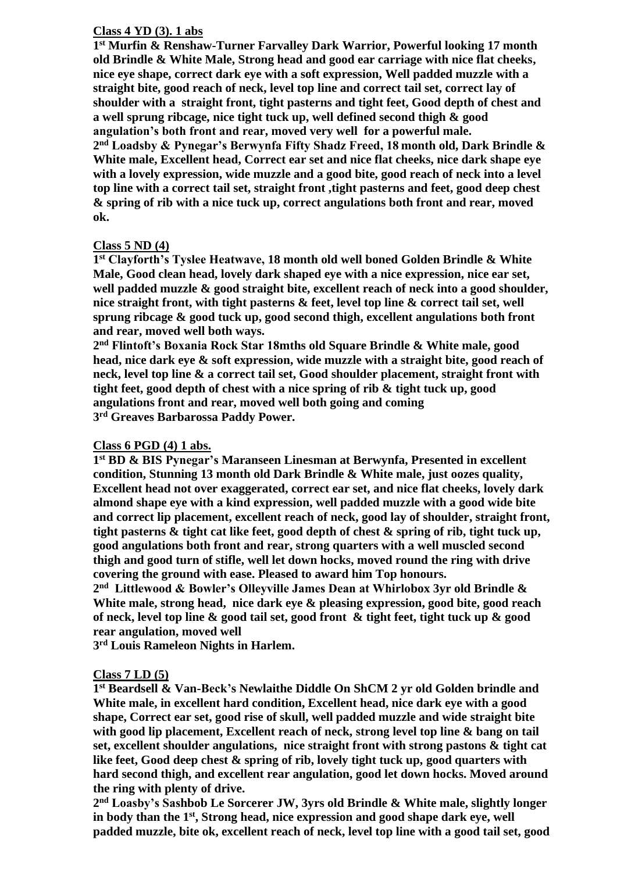#### **Class 4 YD (3). 1 abs**

**1 st Murfin & Renshaw-Turner Farvalley Dark Warrior, Powerful looking 17 month old Brindle & White Male, Strong head and good ear carriage with nice flat cheeks, nice eye shape, correct dark eye with a soft expression, Well padded muzzle with a straight bite, good reach of neck, level top line and correct tail set, correct lay of shoulder with a straight front, tight pasterns and tight feet, Good depth of chest and a well sprung ribcage, nice tight tuck up, well defined second thigh & good angulation's both front and rear, moved very well for a powerful male. 2 nd Loadsby & Pynegar's Berwynfa Fifty Shadz Freed, 18 month old, Dark Brindle & White male, Excellent head, Correct ear set and nice flat cheeks, nice dark shape eye with a lovely expression, wide muzzle and a good bite, good reach of neck into a level top line with a correct tail set, straight front ,tight pasterns and feet, good deep chest & spring of rib with a nice tuck up, correct angulations both front and rear, moved ok.**

#### **Class 5 ND (4)**

**1 st Clayforth's Tyslee Heatwave, 18 month old well boned Golden Brindle & White Male, Good clean head, lovely dark shaped eye with a nice expression, nice ear set, well padded muzzle & good straight bite, excellent reach of neck into a good shoulder, nice straight front, with tight pasterns & feet, level top line & correct tail set, well sprung ribcage & good tuck up, good second thigh, excellent angulations both front and rear, moved well both ways.**

**2 nd Flintoft's Boxania Rock Star 18mths old Square Brindle & White male, good head, nice dark eye & soft expression, wide muzzle with a straight bite, good reach of neck, level top line & a correct tail set, Good shoulder placement, straight front with tight feet, good depth of chest with a nice spring of rib & tight tuck up, good angulations front and rear, moved well both going and coming 3 rd Greaves Barbarossa Paddy Power.**

#### **Class 6 PGD (4) 1 abs.**

**1 st BD & BIS Pynegar's Maranseen Linesman at Berwynfa, Presented in excellent condition, Stunning 13 month old Dark Brindle & White male, just oozes quality, Excellent head not over exaggerated, correct ear set, and nice flat cheeks, lovely dark almond shape eye with a kind expression, well padded muzzle with a good wide bite and correct lip placement, excellent reach of neck, good lay of shoulder, straight front, tight pasterns & tight cat like feet, good depth of chest & spring of rib, tight tuck up, good angulations both front and rear, strong quarters with a well muscled second thigh and good turn of stifle, well let down hocks, moved round the ring with drive covering the ground with ease. Pleased to award him Top honours.**

**2 nd Littlewood & Bowler's Olleyville James Dean at Whirlobox 3yr old Brindle & White male, strong head, nice dark eye & pleasing expression, good bite, good reach of neck, level top line & good tail set, good front & tight feet, tight tuck up & good rear angulation, moved well**

**3 rd Louis Rameleon Nights in Harlem.**

#### **Class 7 LD (5)**

**1 st Beardsell & Van-Beck's Newlaithe Diddle On ShCM 2 yr old Golden brindle and White male, in excellent hard condition, Excellent head, nice dark eye with a good shape, Correct ear set, good rise of skull, well padded muzzle and wide straight bite with good lip placement, Excellent reach of neck, strong level top line & bang on tail set, excellent shoulder angulations, nice straight front with strong pastons & tight cat like feet, Good deep chest & spring of rib, lovely tight tuck up, good quarters with hard second thigh, and excellent rear angulation, good let down hocks. Moved around the ring with plenty of drive.**

**2 nd Loasby's Sashbob Le Sorcerer JW, 3yrs old Brindle & White male, slightly longer in body than the 1st, Strong head, nice expression and good shape dark eye, well padded muzzle, bite ok, excellent reach of neck, level top line with a good tail set, good**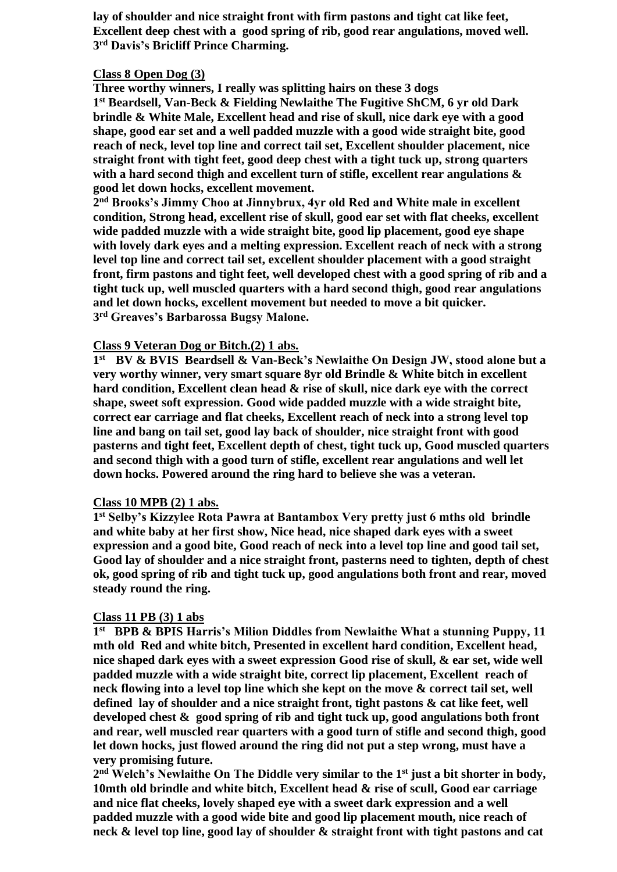**lay of shoulder and nice straight front with firm pastons and tight cat like feet, Excellent deep chest with a good spring of rib, good rear angulations, moved well. 3 rd Davis's Bricliff Prince Charming.**

#### **Class 8 Open Dog (3)**

**Three worthy winners, I really was splitting hairs on these 3 dogs 1 st Beardsell, Van-Beck & Fielding Newlaithe The Fugitive ShCM, 6 yr old Dark brindle & White Male, Excellent head and rise of skull, nice dark eye with a good shape, good ear set and a well padded muzzle with a good wide straight bite, good reach of neck, level top line and correct tail set, Excellent shoulder placement, nice straight front with tight feet, good deep chest with a tight tuck up, strong quarters with a hard second thigh and excellent turn of stifle, excellent rear angulations & good let down hocks, excellent movement.**

**2 nd Brooks's Jimmy Choo at Jinnybrux, 4yr old Red and White male in excellent condition, Strong head, excellent rise of skull, good ear set with flat cheeks, excellent wide padded muzzle with a wide straight bite, good lip placement, good eye shape with lovely dark eyes and a melting expression. Excellent reach of neck with a strong level top line and correct tail set, excellent shoulder placement with a good straight front, firm pastons and tight feet, well developed chest with a good spring of rib and a tight tuck up, well muscled quarters with a hard second thigh, good rear angulations and let down hocks, excellent movement but needed to move a bit quicker. 3 rd Greaves's Barbarossa Bugsy Malone.**

### **Class 9 Veteran Dog or Bitch.(2) 1 abs.**

**1 st BV & BVIS Beardsell & Van-Beck's Newlaithe On Design JW, stood alone but a very worthy winner, very smart square 8yr old Brindle & White bitch in excellent hard condition, Excellent clean head & rise of skull, nice dark eye with the correct shape, sweet soft expression. Good wide padded muzzle with a wide straight bite, correct ear carriage and flat cheeks, Excellent reach of neck into a strong level top line and bang on tail set, good lay back of shoulder, nice straight front with good pasterns and tight feet, Excellent depth of chest, tight tuck up, Good muscled quarters and second thigh with a good turn of stifle, excellent rear angulations and well let down hocks. Powered around the ring hard to believe she was a veteran.**

#### **Class 10 MPB (2) 1 abs.**

**1 st Selby's Kizzylee Rota Pawra at Bantambox Very pretty just 6 mths old brindle and white baby at her first show, Nice head, nice shaped dark eyes with a sweet expression and a good bite, Good reach of neck into a level top line and good tail set, Good lay of shoulder and a nice straight front, pasterns need to tighten, depth of chest ok, good spring of rib and tight tuck up, good angulations both front and rear, moved steady round the ring.**

#### **Class 11 PB (3) 1 abs**

**1 st BPB & BPIS Harris's Milion Diddles from Newlaithe What a stunning Puppy, 11 mth old Red and white bitch, Presented in excellent hard condition, Excellent head, nice shaped dark eyes with a sweet expression Good rise of skull, & ear set, wide well padded muzzle with a wide straight bite, correct lip placement, Excellent reach of neck flowing into a level top line which she kept on the move & correct tail set, well defined lay of shoulder and a nice straight front, tight pastons & cat like feet, well developed chest & good spring of rib and tight tuck up, good angulations both front and rear, well muscled rear quarters with a good turn of stifle and second thigh, good let down hocks, just flowed around the ring did not put a step wrong, must have a very promising future.**

**2 nd Welch's Newlaithe On The Diddle very similar to the 1st just a bit shorter in body, 10mth old brindle and white bitch, Excellent head & rise of scull, Good ear carriage and nice flat cheeks, lovely shaped eye with a sweet dark expression and a well padded muzzle with a good wide bite and good lip placement mouth, nice reach of neck & level top line, good lay of shoulder & straight front with tight pastons and cat**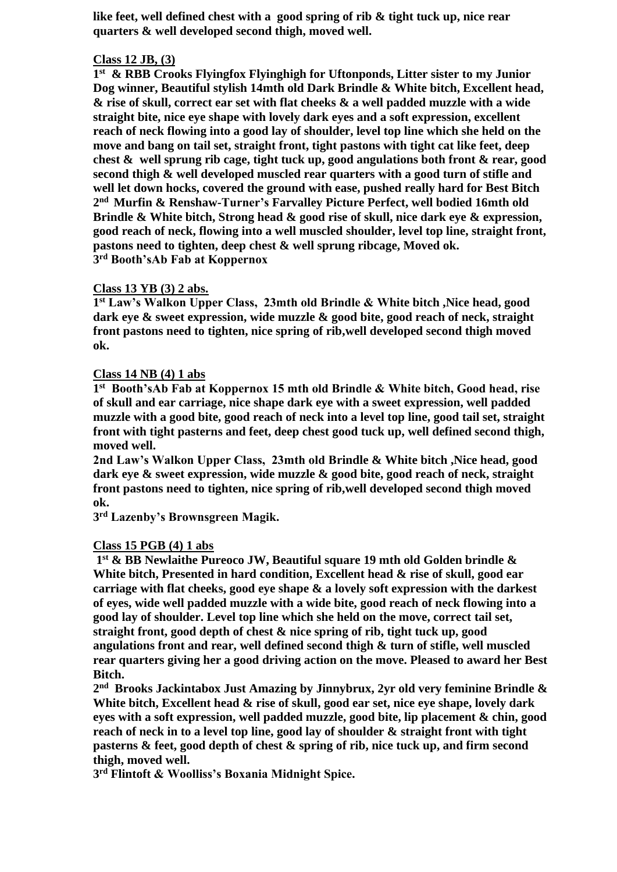**like feet, well defined chest with a good spring of rib & tight tuck up, nice rear quarters & well developed second thigh, moved well.**

#### **Class 12 JB, (3)**

**1 st & RBB Crooks Flyingfox Flyinghigh for Uftonponds, Litter sister to my Junior Dog winner, Beautiful stylish 14mth old Dark Brindle & White bitch, Excellent head, & rise of skull, correct ear set with flat cheeks & a well padded muzzle with a wide straight bite, nice eye shape with lovely dark eyes and a soft expression, excellent reach of neck flowing into a good lay of shoulder, level top line which she held on the move and bang on tail set, straight front, tight pastons with tight cat like feet, deep chest & well sprung rib cage, tight tuck up, good angulations both front & rear, good second thigh & well developed muscled rear quarters with a good turn of stifle and well let down hocks, covered the ground with ease, pushed really hard for Best Bitch 2 nd Murfin & Renshaw-Turner's Farvalley Picture Perfect, well bodied 16mth old Brindle & White bitch, Strong head & good rise of skull, nice dark eye & expression, good reach of neck, flowing into a well muscled shoulder, level top line, straight front, pastons need to tighten, deep chest & well sprung ribcage, Moved ok. 3 rd Booth'sAb Fab at Koppernox**

#### **Class 13 YB (3) 2 abs.**

**1 st Law's Walkon Upper Class, 23mth old Brindle & White bitch ,Nice head, good dark eye & sweet expression, wide muzzle & good bite, good reach of neck, straight front pastons need to tighten, nice spring of rib,well developed second thigh moved ok.**

## **Class 14 NB (4) 1 abs**

**1 st Booth'sAb Fab at Koppernox 15 mth old Brindle & White bitch, Good head, rise of skull and ear carriage, nice shape dark eye with a sweet expression, well padded muzzle with a good bite, good reach of neck into a level top line, good tail set, straight front with tight pasterns and feet, deep chest good tuck up, well defined second thigh, moved well.**

**2nd Law's Walkon Upper Class, 23mth old Brindle & White bitch ,Nice head, good dark eye & sweet expression, wide muzzle & good bite, good reach of neck, straight front pastons need to tighten, nice spring of rib,well developed second thigh moved ok.**

**3 rd Lazenby's Brownsgreen Magik.**

#### **Class 15 PGB (4) 1 abs**

**1 st & BB Newlaithe Pureoco JW, Beautiful square 19 mth old Golden brindle & White bitch, Presented in hard condition, Excellent head & rise of skull, good ear carriage with flat cheeks, good eye shape & a lovely soft expression with the darkest of eyes, wide well padded muzzle with a wide bite, good reach of neck flowing into a good lay of shoulder. Level top line which she held on the move, correct tail set, straight front, good depth of chest & nice spring of rib, tight tuck up, good angulations front and rear, well defined second thigh & turn of stifle, well muscled rear quarters giving her a good driving action on the move. Pleased to award her Best Bitch.**

**2 nd Brooks Jackintabox Just Amazing by Jinnybrux, 2yr old very feminine Brindle & White bitch, Excellent head & rise of skull, good ear set, nice eye shape, lovely dark eyes with a soft expression, well padded muzzle, good bite, lip placement & chin, good reach of neck in to a level top line, good lay of shoulder & straight front with tight pasterns & feet, good depth of chest & spring of rib, nice tuck up, and firm second thigh, moved well.**

**3 rd Flintoft & Woolliss's Boxania Midnight Spice.**